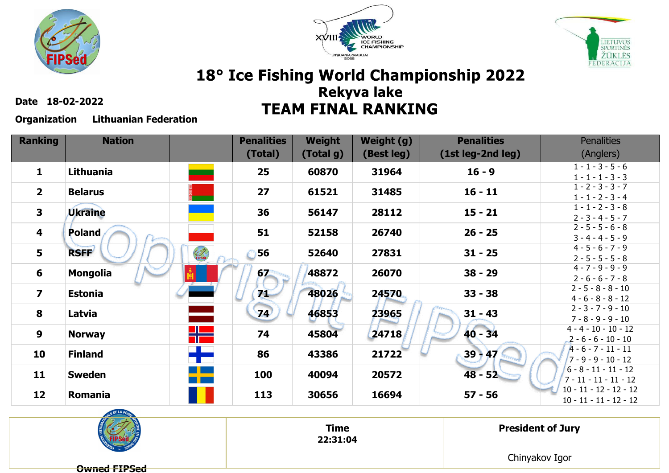





**Date 18-02-2022**

**Organization Lithuanian Federation**

| <b>Ranking</b>          | <b>Nation</b>    |                                     | <b>Penalities</b> | <b>Weight</b> | Weight (g) | <b>Penalities</b> | <b>Penalities</b>                                 |
|-------------------------|------------------|-------------------------------------|-------------------|---------------|------------|-------------------|---------------------------------------------------|
|                         |                  |                                     | (Total)           | (Total g)     | (Best leg) | (1st leg-2nd leg) | (Anglers)                                         |
| 1                       | <b>Lithuania</b> | -                                   | 25                | 60870         | 31964      | $16 - 9$          | $1 - 1 - 3 - 5 - 6$<br>$1 - 1 - 1 - 3 - 3$        |
| $\overline{2}$          | <b>Belarus</b>   |                                     | 27                | 61521         | 31485      | $16 - 11$         | $1 - 2 - 3 - 3 - 7$<br>$1 - 1 - 2 - 3 - 4$        |
| 3                       | <b>Ukraine</b>   |                                     | 36                | 56147         | 28112      | $15 - 21$         | $1 - 1 - 2 - 3 - 8$                               |
|                         |                  |                                     |                   |               |            |                   | $2 - 3 - 4 - 5 - 7$                               |
| $\overline{\mathbf{4}}$ | <b>Poland</b>    |                                     | 51                | 52158         | 26740      | $26 - 25$         | $2 - 5 - 5 - 6 - 8$<br>$3 - 4 - 4 - 5 - 9$        |
| 5                       | <b>RSFF</b>      | FIPSed                              | 56                | 52640         | 27831      | $31 - 25$         | $4 - 5 - 6 - 7 - 9$                               |
|                         |                  |                                     |                   |               |            |                   | $2 - 5 - 5 - 5 - 8$                               |
| 6                       | <b>Mongolia</b>  |                                     | 67                | 48872         | 26070      | $38 - 29$         | $4 - 7 - 9 - 9 - 9$                               |
|                         |                  |                                     |                   |               |            |                   | $2 - 6 - 6 - 7 - 8$                               |
| $\overline{\mathbf{z}}$ | <b>Estonia</b>   |                                     | 71                | 48026         | 24570      | $33 - 38$         | $2 - 5 - 8 - 8 - 10$                              |
|                         |                  |                                     |                   |               |            |                   | $4 - 6 - 8 - 8 - 12$                              |
| 8                       | Latvia           |                                     | 74                | 46853         | 23965      | $31 - 43$         | $2 - 3 - 7 - 9 - 10$                              |
|                         |                  |                                     |                   |               |            |                   | $7 - 8 - 9 - 9 - 10$<br>$4 - 4 - 10 - 10 - 12$    |
| 9                       | <b>Norway</b>    | 2   22<br>2   22                    | 74                | 45804         | 24718      | $40 - 34$         | $2 - 6 - 6 - 10 - 10$                             |
|                         |                  | <u>ta ka</u>                        |                   |               |            |                   | $A - 6 - 7 - 11 - 11$                             |
| 10                      | <b>Finland</b>   |                                     | 86                | 43386         | 21722      | $39 - 47$         | $7 - 9 - 9 - 10 - 12$                             |
| 11                      | <b>Sweden</b>    | a kacamatan ing Kabupatèn Kabupatèn | 100               | 40094         | 20572      | $48 - 52$         | $6 - 8 - 11 - 11 - 12$<br>$7 - 11 - 11 - 11 - 12$ |
|                         |                  |                                     |                   |               |            |                   | $10 - 11 - 12 - 12 - 12$                          |
| 12                      | Romania          |                                     | 113               | 30656         | 16694      | $57 - 56$         | $10 - 11 - 11 - 12 - 12$                          |



**Time22:31:04** **President of Jury**

Chinyakov Igor

**Owned FIPSed**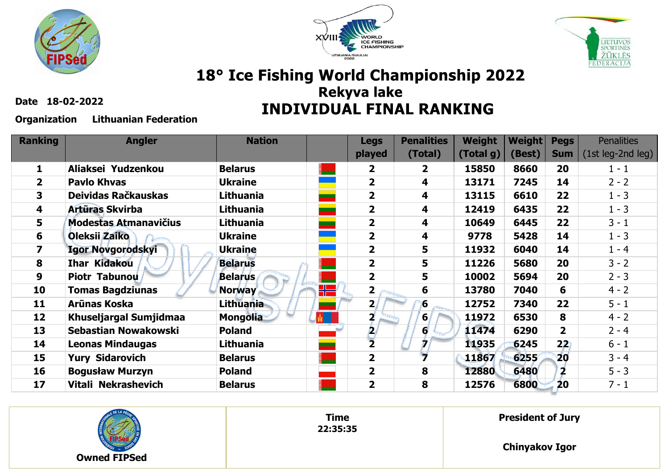





**Date 18-02-2022**

#### **Organization Lithuanian Federation**

| <b>Ranking</b> | <b>Angler</b>                | <b>Nation</b>    |   | <b>Legs</b>             | <b>Penalities</b> | <b>Weight</b> | <b>Weight</b> | <b>Pegs</b>             | <b>Penalities</b>   |
|----------------|------------------------------|------------------|---|-------------------------|-------------------|---------------|---------------|-------------------------|---------------------|
|                |                              |                  |   | played                  | (Total)           | (Total g)     | (Best)        | <b>Sum</b>              | $(1st leg-2nd leg)$ |
| 1              | Aliaksei Yudzenkou           | <b>Belarus</b>   |   | $\overline{2}$          | $\mathbf{2}$      | 15850         | 8660          | 20                      | $1 - 1$             |
| $\mathbf{2}$   | <b>Pavlo Khvas</b>           | <b>Ukraine</b>   |   | $\overline{\mathbf{2}}$ | 4                 | 13171         | 7245          | 14                      | $2 - 2$             |
| 3              | Deividas Račkauskas          | <b>Lithuania</b> |   | $\overline{\mathbf{2}}$ | 4                 | 13115         | 6610          | 22                      | $1 - 3$             |
| 4              | Artūras Skvirba              | Lithuania        |   | $\overline{\mathbf{2}}$ | 4                 | 12419         | 6435          | 22                      | $1 - 3$             |
| 5              | <b>Modestas Atmanavičius</b> | Lithuania        |   | $\overline{\mathbf{2}}$ | 4                 | 10649         | 6445          | 22                      | $3 - 1$             |
| 6              | Oleksii Zaiko                | <b>Ukraine</b>   |   | $\overline{\mathbf{2}}$ | 4                 | 9778          | 5428          | 14                      | $1 - 3$             |
| 7              | <b>Igor Novgorodskyi</b>     | <b>Ukraine</b>   |   | $\overline{\mathbf{2}}$ | 5                 | 11932         | 6040          | 14                      | $1 - 4$             |
| 8              | <b>Ihar Kidakou</b>          | <b>Belarus</b>   |   | $\overline{\mathbf{2}}$ | 5                 | 11226         | 5680          | 20                      | $3 - 2$             |
| 9              | Piotr Tabunou                | <b>Belarus</b>   |   | $\overline{\mathbf{2}}$ | 5                 | 10002         | 5694          | 20                      | $2 - 3$             |
| 10             | <b>Tomas Bagdziunas</b>      | <b>Norway</b>    | ₩ | 2                       | 6                 | 13780         | 7040          | 6                       | $4 - 2$             |
| 11             | Arūnas Koska                 | <b>Lithuania</b> |   | $\overline{2}$          | 6                 | 12752         | 7340          | 22                      | $5 - 1$             |
| 12             | Khuseljargal Sumjidmaa       | <b>Mongolia</b>  | × |                         | $6 \,$            | 11972         | 6530          | 8                       | $4 - 2$             |
| 13             | Sebastian Nowakowski         | <b>Poland</b>    |   | 2                       | 6                 | 11474         | 6290          | $\overline{2}$          | $2 - 4$             |
| 14             | <b>Leonas Mindaugas</b>      | Lithuania        |   | $\overline{2}$          |                   | 11935         | 6245          | 22)                     | $6 - 1$             |
| 15             | <b>Yury Sidarovich</b>       | <b>Belarus</b>   |   | $\overline{\mathbf{2}}$ |                   | 11867         | 6255          | 20                      | $3 - 4$             |
| 16             | <b>Bogusław Murzyn</b>       | <b>Poland</b>    |   | $\overline{\mathbf{2}}$ | 8                 | 12880         | 6480          | $\overline{\mathbf{2}}$ | $5 - 3$             |
| 17             | Vitali Nekrashevich          | <b>Belarus</b>   |   | $\overline{\mathbf{2}}$ | 8                 | 12576         | 6800          | 20                      | $7 - 1$             |



**Time 22:35:35** **President of Jury**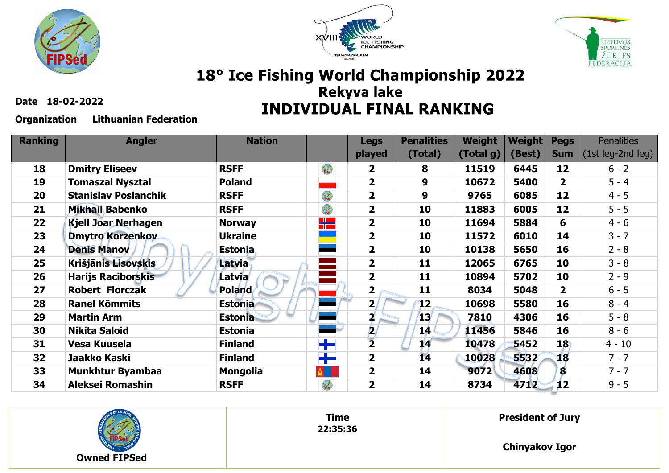





**Date 18-02-2022**

**Organization Lithuanian Federation**

| <b>Ranking</b> | <b>Angler</b>               | <b>Nation</b>   |                      | <b>Legs</b>             | <b>Penalities</b> | <b>Weight</b> | <b>Weight</b> | <b>Pegs</b>             | <b>Penalities</b> |
|----------------|-----------------------------|-----------------|----------------------|-------------------------|-------------------|---------------|---------------|-------------------------|-------------------|
|                |                             |                 |                      | played                  | (Total)           | (Total g)     | (Best)        | <b>Sum</b>              | (1st leg-2nd leg) |
| 18             | <b>Dmitry Eliseev</b>       | <b>RSFF</b>     | $\mathcal{I}$        | $\overline{\mathbf{2}}$ | 8                 | 11519         | 6445          | 12                      | $6 - 2$           |
| 19             | <b>Tomaszal Nysztal</b>     | <b>Poland</b>   |                      | $\overline{2}$          | 9                 | 10672         | 5400          | $\overline{\mathbf{2}}$ | $5 - 4$           |
| 20             | <b>Stanislav Poslanchik</b> | <b>RSFF</b>     | $\frac{1}{\sqrt{1}}$ | $\overline{\mathbf{2}}$ | 9                 | 9765          | 6085          | 12                      | $4 - 5$           |
| 21             | <b>Mikhail Babenko</b>      | <b>RSFF</b>     | $\mathcal{O}$        | $\overline{\mathbf{2}}$ | 10                | 11883         | 6005          | 12                      | $5 - 5$           |
| 22             | <b>Kjell Joar Nerhagen</b>  | <b>Norway</b>   | ╬▆                   | $\overline{2}$          | 10                | 11694         | 5884          | 6                       | $4 - 6$           |
| 23             | <b>Dmytro Korzenkov</b>     | <b>Ukraine</b>  |                      | $\overline{\mathbf{2}}$ | 10                | 11572         | 6010          | 14                      | $3 - 7$           |
| 24             | <b>Denis Manov</b>          | <b>Estonia</b>  |                      | $\overline{\mathbf{2}}$ | 10                | 10138         | 5650          | 16                      | $2 - 8$           |
| 25             | Krišjānis Lisovskis         | <b>Latvia</b>   |                      | $\overline{2}$          | 11                | 12065         | 6765          | 10                      | $3 - 8$           |
| 26             | <b>Harijs Raciborskis</b>   | Latvia          |                      | $\overline{2}$          | 11                | 10894         | 5702          | 10                      | $2 - 9$           |
| 27             | <b>Robert Florczak</b>      | Poland          |                      | $\overline{\mathbf{2}}$ | 11                | 8034          | 5048          | $\overline{2}$          | $6 - 5$           |
| 28             | <b>Ranel Kõmmits</b>        | <b>Estonia</b>  |                      | 2 <sub>1</sub>          | $12 \,$           | 10698         | 5580          | 16                      | $8 - 4$           |
| 29             | <b>Martin Arm</b>           | <b>Estonia</b>  |                      | 2                       | 13 <sub>1</sub>   | 7810          | 4306          | 16                      | $5 - 8$           |
| 30             | <b>Nikita Saloid</b>        | <b>Estonia</b>  |                      | P.                      | 14 <sup>°</sup>   | 11456         | 5846          | 16                      | $8 - 6$           |
| 31             | <b>Vesa Kuusela</b>         | <b>Finland</b>  | ╈                    | $\overline{\mathbf{2}}$ | 14                | 10478         | 5452          | 18                      | $4 - 10$          |
| 32             | Jaakko Kaski                | <b>Finland</b>  | ┿                    | $\overline{\mathbf{2}}$ | $\overline{14}$   | 10028         | 5532          | 18                      | $7 - 7$           |
| 33             | <b>Munkhtur Byambaa</b>     | <b>Mongolia</b> |                      | $\overline{\mathbf{2}}$ | 14                | 9072          | 4608          | 8                       | $7 - 7$           |
| 34             | <b>Aleksei Romashin</b>     | <b>RSFF</b>     | $\mathcal{O}$        | $\overline{\mathbf{2}}$ | 14                | 8734          | 4712          | 12                      | $9 - 5$           |



**Time 22:35:36** **President of Jury**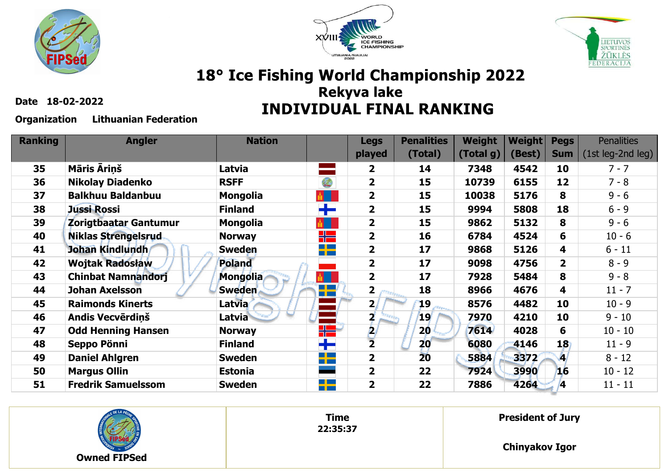





**Date 18-02-2022**

**Organization Lithuanian Federation**

| <b>Ranking</b> | <b>Angler</b>              | <b>Nation</b>   |                                        | <b>Legs</b>             | <b>Penalities</b> | <b>Weight</b> | <b>Weight</b> | <b>Pegs</b>    | <b>Penalities</b> |
|----------------|----------------------------|-----------------|----------------------------------------|-------------------------|-------------------|---------------|---------------|----------------|-------------------|
|                |                            |                 |                                        | played                  | (Total)           | (Total g)     | (Best)        | <b>Sum</b>     | (1st leg-2nd leg) |
| 35             | <b>Māris Ārinš</b>         | Latvia          |                                        | $\overline{\mathbf{2}}$ | 14                | 7348          | 4542          | 10             | $7 - 7$           |
| 36             | <b>Nikolay Diadenko</b>    | <b>RSFF</b>     | $\mathcal{O}$                          | $\overline{\mathbf{2}}$ | 15                | 10739         | 6155          | 12             | $7 - 8$           |
| 37             | <b>Balkhuu Baldanbuu</b>   | <b>Mongolia</b> | $\frac{1}{\vert \mathfrak{g} \vert}$ . | $\overline{\mathbf{2}}$ | 15                | 10038         | 5176          | 8              | $9 - 6$           |
| 38             | <b>Jussi Rossi</b>         | <b>Finland</b>  | ╋╾                                     | $\overline{\mathbf{2}}$ | 15                | 9994          | 5808          | 18             | $6 - 9$           |
| 39             | Zorigtbaatar Gantumur      | <b>Mongolia</b> | $\frac{1}{\vert \mathfrak{g} \vert}$ . | $\overline{\mathbf{2}}$ | 15                | 9862          | 5132          | 8              | $9 - 6$           |
| 40             | <b>Niklas Strengelsrud</b> | <b>Norway</b>   | ╬═                                     | $\overline{\mathbf{2}}$ | 16                | 6784          | 4524          | 6              | $10 - 6$          |
| 41             | Johan Kindlundh            | <b>Sweden</b>   | <u>r a s</u><br>n en                   | $\overline{\mathbf{2}}$ | 17                | 9868          | 5126          | 4              | $6 - 11$          |
| 42             | <b>Wojtak Radosław</b>     | <b>Poland</b>   |                                        | $\overline{2}$          | 17                | 9098          | 4756          | $\overline{2}$ | $8 - 9$           |
| 43             | <b>Chinbat Namnandorj</b>  | <b>Mongolia</b> | $\frac{1}{\vert \mathfrak{g} \vert}$   | $\overline{2}$          | 17                | 7928          | 5484          | 8              | $9 - 8$           |
| 44             | <b>Johan Axelsson</b>      | <b>Sweden</b>   | ┽╾                                     | $\overline{\mathbf{2}}$ | 18                | 8966          | 4676          | 4              | $11 - 7$          |
| 45             | <b>Raimonds Kinerts</b>    | Latvia          |                                        | 2 <sub>1</sub>          | 19                | 8576          | 4482          | 10             | $10 - 9$          |
| 46             | Andis Vecvērdiņš           | <b>Latvia</b>   |                                        |                         | 19'               | 7970          | 4210          | 10             | $9 - 10$          |
| 47             | <b>Odd Henning Hansen</b>  | <b>Norway</b>   | ╬                                      | 21                      | $20 -$            | 7614          | 4028          | 6              | $10 - 10$         |
| 48             | Seppo Pönni                | <b>Finland</b>  | ╈                                      | $\overline{2}$          | 20                | 6080          | 4146          | 18             | $11 - 9$          |
| 49             | <b>Daniel Ahlgren</b>      | <b>Sweden</b>   | <u>ra ka</u><br><b>TELESCOPE</b>       | $\overline{\mathbf{2}}$ | 20                | 5884          | 3372          | J              | $8 - 12$          |
| 50             | <b>Margus Ollin</b>        | <b>Estonia</b>  |                                        | $\overline{\mathbf{2}}$ | 22                | 7924          | 3990          | 16             | $10 - 12$         |
| 51             | <b>Fredrik Samuelssom</b>  | <b>Sweden</b>   | $\rightarrow$                          | $\overline{\mathbf{2}}$ | 22                | 7886          | 4264          | 4              | $11 - 11$         |



**Time 22:35:37** **President of Jury**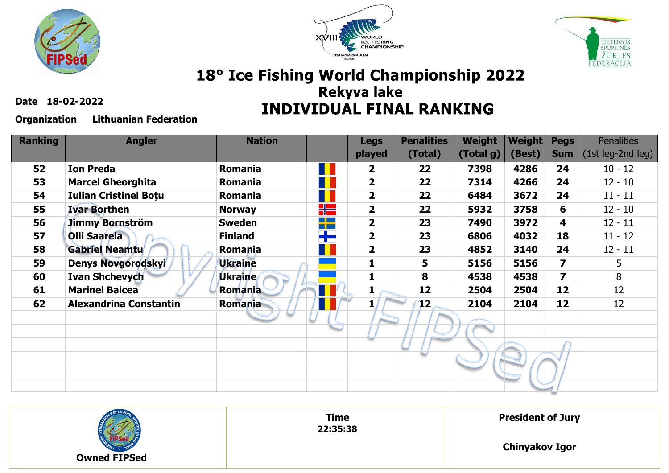





**Date 18-02-2022**

#### **Organization Lithuanian Federation**

| <b>Ranking</b> | <b>Angler</b>                 | <b>Nation</b>  |                      | <b>Legs</b>             | <b>Penalities</b> | <b>Weight</b> | <b>Weight</b> | <b>Pegs</b>             | <b>Penalities</b> |
|----------------|-------------------------------|----------------|----------------------|-------------------------|-------------------|---------------|---------------|-------------------------|-------------------|
|                |                               |                |                      | played                  | (Total)           | (Total g)     | (Best)        | <b>Sum</b>              | (1st leg-2nd leg) |
| 52             | <b>Ion Preda</b>              | Romania        | П                    | $\overline{\mathbf{2}}$ | 22                | 7398          | 4286          | 24                      | $10 - 12$         |
| 53             | <b>Marcel Gheorghita</b>      | Romania        |                      | $\overline{\mathbf{2}}$ | 22                | 7314          | 4266          | 24                      | $12 - 10$         |
| 54             | <b>Iulian Cristinel Botu</b>  | Romania        |                      | $\overline{\mathbf{2}}$ | 22                | 6484          | 3672          | 24                      | $11 - 11$         |
| 55             | <b>Ivar Borthen</b>           | <b>Norway</b>  | ٢Æ                   | $\overline{\mathbf{2}}$ | 22                | 5932          | 3758          | 6                       | $12 - 10$         |
| 56             | Jimmy Bornström               | <b>Sweden</b>  | $\Box$ $\Box$<br>n m | $\overline{\mathbf{2}}$ | 23                | 7490          | 3972          | 4                       | $12 - 11$         |
| 57             | <b>Olli Saarela</b>           | <b>Finland</b> | ┿                    | $\overline{\mathbf{2}}$ | 23                | 6806          | 4032          | 18                      | $11 - 12$         |
| 58             | <b>Gabriel Neamtu</b>         | Romania        |                      | $\overline{\mathbf{2}}$ | 23                | 4852          | 3140          | 24                      | $12 - 11$         |
| 59             | <b>Denys Novgorodskyi</b>     | <b>Ukraine</b> |                      | 1                       | 5                 | 5156          | 5156          | $\overline{\mathbf{z}}$ | 5                 |
| 60             | <b>Ivan Shchevych</b>         | Ukraine        |                      | 1                       | 8                 | 4538          | 4538          | $\overline{\mathbf{z}}$ | 8                 |
| 61             | <b>Marinel Baicea</b>         | <b>Romania</b> |                      | 1<br><b>Thread</b>      | 12                | 2504          | 2504          | 12                      | 12                |
| 62             | <b>Alexandrina Constantin</b> | <b>Romania</b> |                      |                         | $\bf{12}$         | 2104          | 2104          | 12                      | 12                |
|                |                               |                |                      |                         |                   |               |               |                         |                   |
|                |                               |                |                      |                         |                   |               |               |                         |                   |
|                |                               |                |                      |                         |                   |               |               |                         |                   |
|                |                               |                |                      |                         |                   |               |               |                         |                   |
|                |                               |                |                      |                         |                   |               |               |                         |                   |
|                |                               |                |                      |                         |                   |               |               |                         |                   |

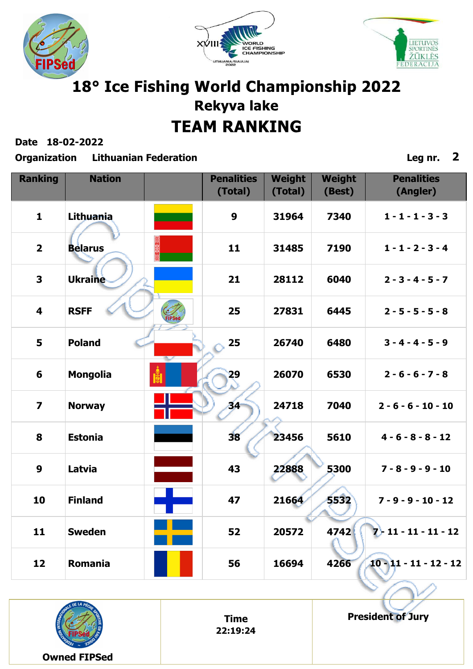





**Date 18-02-2022**

**Organization Lithuanian Federation Leg nr. 2**

| <b>Ranking</b>          | <b>Nation</b>   |               | <b>Penalities</b><br>(Total) | Weight<br>(Total) | <b>Weight</b><br>(Best) | <b>Penalities</b><br>(Angler) |
|-------------------------|-----------------|---------------|------------------------------|-------------------|-------------------------|-------------------------------|
| $\mathbf{1}$            | Lithuania       |               | 9                            | 31964             | 7340                    | $1 - 1 - 1 - 3 - 3$           |
| $\overline{2}$          | <b>Belarus</b>  |               | 11                           | 31485             | 7190                    | $1 - 1 - 2 - 3 - 4$           |
| 3                       | <b>Ukraine</b>  |               | 21                           | 28112             | 6040                    | $2 - 3 - 4 - 5 - 7$           |
| $\overline{\mathbf{4}}$ | <b>RSFF</b>     | <b>FIPSet</b> | 25                           | 27831             | 6445                    | $2 - 5 - 5 - 5 - 8$           |
| 5                       | <b>Poland</b>   |               | 25                           | 26740             | 6480                    | $3 - 4 - 4 - 5 - 9$           |
| $6\phantom{1}6$         | <b>Mongolia</b> |               | 29                           | 26070             | 6530                    | $2 - 6 - 6 - 7 - 8$           |
| $\overline{\mathbf{z}}$ | <b>Norway</b>   |               | 34                           | 24718             | 7040                    | $2 - 6 - 6 - 10 - 10$         |
| 8                       | <b>Estonia</b>  |               | 38                           | 23456             | 5610                    | $4 - 6 - 8 - 8 - 12$          |
| $\boldsymbol{9}$        | Latvia          |               | 43                           | 22888             | 5300                    | $7 - 8 - 9 - 9 - 10$          |
| 10                      | <b>Finland</b>  |               | 47                           | 21664             | 5532                    | $7 - 9 - 9 - 10 - 12$         |
| 11                      | <b>Sweden</b>   |               | 52                           | 20572             | 4742                    | $2 + 11 - 11 - 11 - 12$       |
| 12                      | Romania         |               | 56                           | 16694             | 4266                    | $10 - 11 - 11 - 12 - 12$      |



**Time 22:19:24** **President of Jury**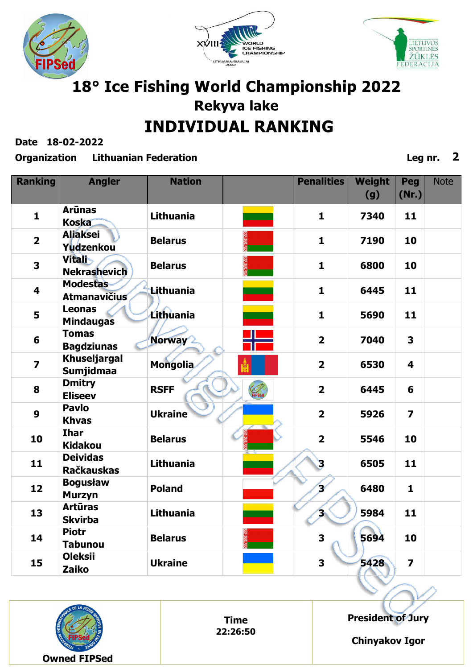





**Date 18-02-2022**

#### **Organization Lithuanian Federation Leg nr. 2**

| <b>Ranking</b>          | <b>Angler</b>                           | <b>Nation</b>    | <b>Penalities</b> | Weight | Peg                     | <b>Note</b> |
|-------------------------|-----------------------------------------|------------------|-------------------|--------|-------------------------|-------------|
|                         |                                         |                  |                   | (g)    | (Nr.)                   |             |
| $\mathbf{1}$            | <b>Arūnas</b><br><b>Koska</b>           | <b>Lithuania</b> | $\mathbf{1}$      | 7340   | 11                      |             |
| $\overline{2}$          | <b>Aliaksei</b><br>Yudzenkou            | <b>Belarus</b>   | $\mathbf{1}$      | 7190   | 10                      |             |
| 3                       | <b>Vitali</b><br><b>Nekrashevich</b>    | <b>Belarus</b>   | $\mathbf{1}$      | 6800   | 10                      |             |
| 4                       | <b>Modestas</b><br><b>Atmanavičius</b>  | <b>Lithuania</b> | $\mathbf{1}$      | 6445   | 11                      |             |
| 5                       | <b>Leonas</b><br><b>Mindaugas</b>       | Lithuania        | $\mathbf{1}$      | 5690   | 11                      |             |
| 6                       | <b>Tomas</b><br><b>Bagdziunas</b>       | Norway           | $\overline{2}$    | 7040   | $\overline{\mathbf{3}}$ |             |
| $\overline{\mathbf{z}}$ | <b>Khuseljargal</b><br><b>Sumjidmaa</b> | <b>Mongolia</b>  | $\overline{2}$    | 6530   | $\overline{\mathbf{4}}$ |             |
| 8                       | <b>Dmitry</b><br><b>Eliseev</b>         | <b>RSFF</b>      | $\overline{2}$    | 6445   | 6                       |             |
| $\boldsymbol{9}$        | <b>Pavlo</b><br><b>Khvas</b>            | <b>Ukraine</b>   | $\overline{2}$    | 5926   | $\overline{\mathbf{z}}$ |             |
| 10                      | <b>Ihar</b><br><b>Kidakou</b>           | <b>Belarus</b>   | $\overline{2}$    | 5546   | 10                      |             |
| 11                      | <b>Deividas</b><br><b>Račkauskas</b>    | <b>Lithuania</b> | 3                 | 6505   | 11                      |             |
| 12                      | <b>Bogusław</b><br><b>Murzyn</b>        | <b>Poland</b>    | $\mathbf{r}$      | 6480   | $\mathbf{1}$            |             |
| 13                      | <b>Artūras</b><br><b>Skvirba</b>        | Lithuania        | 'N                | 5984   | 11                      |             |
| 14                      | <b>Piotr</b><br><b>Tabunou</b>          | <b>Belarus</b>   | 3                 | 5694   | 10                      |             |
| 15                      | <b>Oleksii</b><br><b>Zaiko</b>          | <b>Ukraine</b>   | 3                 | 5428   | $\overline{\mathbf{z}}$ |             |



**Time 22:26:50** **President of Jury**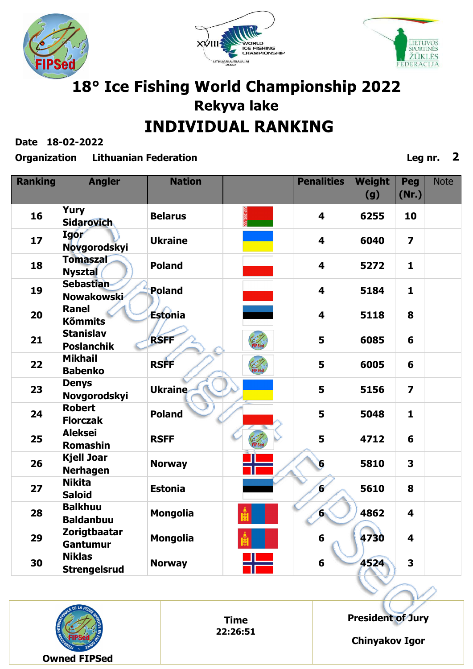





**Date 18-02-2022**

#### **Organization Lithuanian Federation Leg nr. 2**

| <b>Ranking</b> | <b>Angler</b>                         | <b>Nation</b>   |        | <b>Penalities</b>       | <b>Weight</b><br>(g) | Peg<br>(Nr.)            | <b>Note</b> |
|----------------|---------------------------------------|-----------------|--------|-------------------------|----------------------|-------------------------|-------------|
| 16             | <b>Yury</b><br><b>Sidarovich</b>      | <b>Belarus</b>  |        | $\overline{\mathbf{4}}$ | 6255                 | 10                      |             |
| 17             | <b>Igor</b><br><b>Novgorodskyi</b>    | <b>Ukraine</b>  |        | $\overline{\mathbf{4}}$ | 6040                 | $\overline{\mathbf{z}}$ |             |
| 18             | <b>Tomaszal</b><br><b>Nysztal</b>     | <b>Poland</b>   |        | $\overline{\mathbf{4}}$ | 5272                 | $\mathbf{1}$            |             |
| 19             | <b>Sebastian</b><br>Nowakowski        | <b>Poland</b>   |        | $\overline{\mathbf{4}}$ | 5184                 | $\mathbf{1}$            |             |
| 20             | <b>Ranel</b><br><b>Kõmmits</b>        | Estonia         |        | $\overline{\mathbf{4}}$ | 5118                 | 8                       |             |
| 21             | <b>Stanislav</b><br><b>Poslanchik</b> | <b>RSFF</b>     |        | 5                       | 6085                 | 6                       |             |
| 22             | <b>Mikhail</b><br><b>Babenko</b>      | <b>RSFF</b>     | FIPSed | 5                       | 6005                 | 6                       |             |
| 23             | <b>Denys</b><br><b>Novgorodskyi</b>   | <b>Ukraine</b>  |        | 5                       | 5156                 | $\overline{\mathbf{z}}$ |             |
| 24             | <b>Robert</b><br><b>Florczak</b>      | <b>Poland</b>   |        | 5                       | 5048                 | $\mathbf{1}$            |             |
| 25             | <b>Aleksei</b><br><b>Romashin</b>     | <b>RSFF</b>     |        | 5                       | 4712                 | 6                       |             |
| 26             | <b>Kjell Joar</b><br><b>Nerhagen</b>  | <b>Norway</b>   |        | 6                       | 5810                 | $\overline{\mathbf{3}}$ |             |
| 27             | <b>Nikita</b><br><b>Saloid</b>        | <b>Estonia</b>  |        | $\epsilon$              | 5610                 | 8                       |             |
| 28             | <b>Balkhuu</b><br><b>Baldanbuu</b>    | <b>Mongolia</b> |        | 'n.                     | 4862                 | $\overline{\mathbf{4}}$ |             |
| 29             | <b>Zorigtbaatar</b><br>Gantumur       | <b>Mongolia</b> |        | $6\phantom{1}6$         | 4730                 | $\overline{\mathbf{4}}$ |             |
| 30             | <b>Niklas</b><br><b>Strengelsrud</b>  | <b>Norway</b>   |        | 6                       | 4524                 | 3                       |             |



**Time 22:26:51** **President of Jury**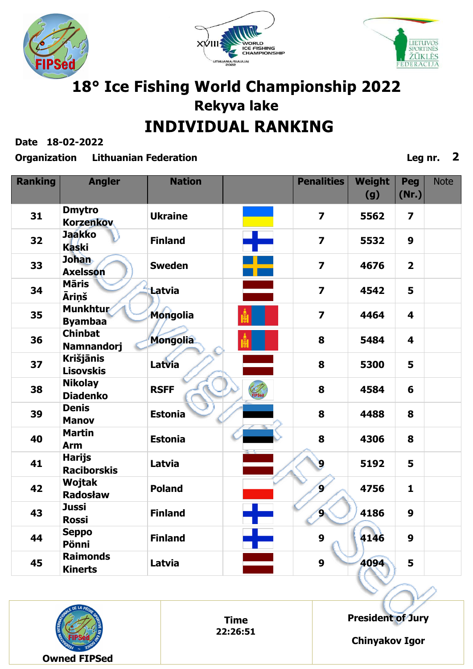





**Date 18-02-2022**

#### **Organization Lithuanian Federation Leg nr. 2**

| <b>Ranking</b> | <b>Angler</b>                        | <b>Nation</b>   |                                                                                                                      | <b>Penalities</b>       | <b>Weight</b><br>(g) | Peg<br>(Nr.)            | <b>Note</b> |
|----------------|--------------------------------------|-----------------|----------------------------------------------------------------------------------------------------------------------|-------------------------|----------------------|-------------------------|-------------|
| 31             | <b>Dmytro</b><br><b>Korzenkov</b>    | <b>Ukraine</b>  | <b>Contract Contract Contract Contract Contract Contract Contract Contract Contract Contract Contract Contract C</b> | $\overline{7}$          | 5562                 | $\overline{\mathbf{z}}$ |             |
| 32             | <b>Jaakko</b><br><b>Kaski</b>        | <b>Finland</b>  |                                                                                                                      | $\overline{z}$          | 5532                 | $\boldsymbol{9}$        |             |
| 33             | <b>Johan</b><br><b>Axelsson</b>      | <b>Sweden</b>   |                                                                                                                      | $\overline{\mathbf{z}}$ | 4676                 | $\overline{\mathbf{2}}$ |             |
| 34             | <b>Māris</b><br><b>Āriņš</b>         | Latvia          |                                                                                                                      | $\overline{7}$          | 4542                 | 5                       |             |
| 35             | <b>Munkhtur</b><br><b>Byambaa</b>    | <b>Mongolia</b> |                                                                                                                      | $\overline{\mathbf{z}}$ | 4464                 | $\overline{\mathbf{4}}$ |             |
| 36             | <b>Chinbat</b><br><b>Namnandorj</b>  | <b>Mongolia</b> |                                                                                                                      | 8                       | 5484                 | $\overline{\mathbf{4}}$ |             |
| 37             | <b>Krišjānis</b><br><b>Lisovskis</b> | Latvia          |                                                                                                                      | 8                       | 5300                 | 5                       |             |
| 38             | <b>Nikolay</b><br><b>Diadenko</b>    | <b>RSFF</b>     |                                                                                                                      | 8                       | 4584                 | 6                       |             |
| 39             | <b>Denis</b><br><b>Manov</b>         | <b>Estonia</b>  |                                                                                                                      | 8                       | 4488                 | 8                       |             |
| 40             | <b>Martin</b><br><b>Arm</b>          | <b>Estonia</b>  |                                                                                                                      | 8                       | 4306                 | 8                       |             |
| 41             | <b>Harijs</b><br><b>Raciborskis</b>  | Latvia          |                                                                                                                      | $\mathbf{9}$            | 5192                 | 5                       |             |
| 42             | Wojtak<br><b>Radosław</b>            | <b>Poland</b>   |                                                                                                                      | $\mathbf{S}^{\prime}$   | 4756                 | $\mathbf{1}$            |             |
| 43             | <b>Jussi</b><br><b>Rossi</b>         | <b>Finland</b>  |                                                                                                                      | 9.                      | 4186                 | 9                       |             |
| 44             | <b>Seppo</b><br>Pönni                | <b>Finland</b>  | T                                                                                                                    | 9                       | 4146                 | $\boldsymbol{9}$        |             |
| 45             | <b>Raimonds</b><br><b>Kinerts</b>    | Latvia          |                                                                                                                      | $\boldsymbol{9}$        | 4094                 | 5                       |             |



**Time 22:26:51** **President of Jury**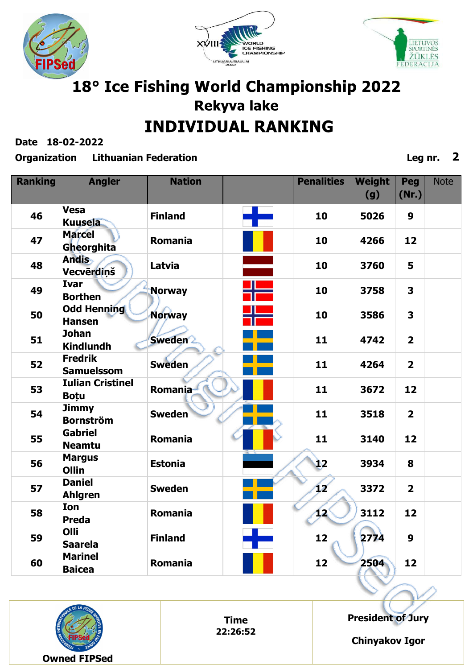





**Date 18-02-2022**

#### **Organization Lithuanian Federation Leg nr. 2**

| <b>Ranking</b> | <b>Angler</b>                          | <b>Nation</b>  |   | <b>Penalities</b> | <b>Weight</b><br>(g) | Peg<br>(Nr.)   | <b>Note</b> |
|----------------|----------------------------------------|----------------|---|-------------------|----------------------|----------------|-------------|
| 46             | <b>Vesa</b><br><b>Kuusela</b>          | <b>Finland</b> | ╋ | 10                | 5026                 | 9              |             |
| 47             | <b>Marcel</b><br>Gheorghita            | <b>Romania</b> |   | 10                | 4266                 | 12             |             |
| 48             | <b>Andis</b><br>Vecvērdinš             | Latvia         |   | 10                | 3760                 | 5              |             |
| 49             | <b>Ivar</b><br><b>Borthen</b>          | <b>Norway</b>  |   | 10                | 3758                 | 3              |             |
| 50             | <b>Odd Henning</b><br><b>Hansen</b>    | <b>Norway</b>  |   | 10                | 3586                 | 3              |             |
| 51             | <b>Johan</b><br><b>Kindlundh</b>       | <b>Sweden</b>  |   | 11                | 4742                 | $\overline{2}$ |             |
| 52             | <b>Fredrik</b><br><b>Samuelssom</b>    | <b>Sweden</b>  |   | 11                | 4264                 | $\overline{2}$ |             |
| 53             | <b>Iulian Cristinel</b><br><b>Botu</b> | <b>Romania</b> |   | 11                | 3672                 | 12             |             |
| 54             | <b>Jimmy</b><br><b>Bornström</b>       | <b>Sweden</b>  |   | 11                | 3518                 | $\overline{2}$ |             |
| 55             | <b>Gabriel</b><br><b>Neamtu</b>        | <b>Romania</b> |   | 11                | 3140                 | 12             |             |
| 56             | <b>Margus</b><br>Ollin                 | <b>Estonia</b> |   | Ì2                | 3934                 | 8              |             |
| 57             | <b>Daniel</b><br><b>Ahlgren</b>        | <b>Sweden</b>  |   | V                 | 3372                 | $\overline{2}$ |             |
| 58             | Ion<br><b>Preda</b>                    | <b>Romania</b> |   | 12                | 3112                 | 12             |             |
| 59             | Olli<br><b>Saarela</b>                 | <b>Finland</b> |   | 12                | 2774                 | 9              |             |
| 60             | <b>Marinel</b><br><b>Baicea</b>        | Romania        |   | 12                | 2504                 | 12             |             |



**Time 22:26:52** **President of Jury**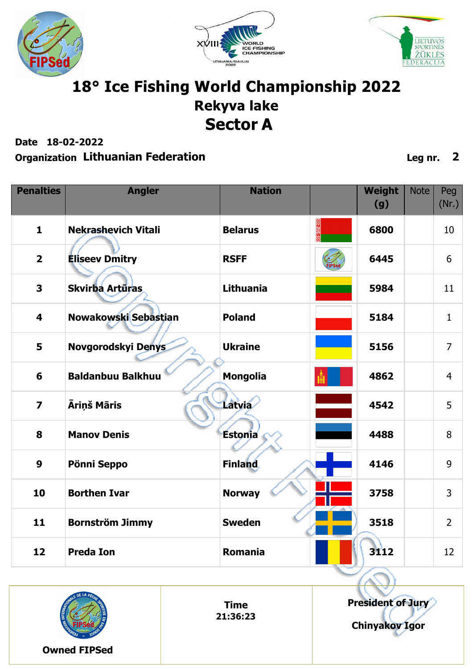





## 18° Ice Fishing World Championship 2022 **Rekyva lake Sector A**

**Date 18-02-2022**

| <b>Penalties</b>        | <b>Angler</b>              | <b>Nation</b>    | Weight<br>(g) | <b>Note</b> | Peg<br>(Nr.)   |
|-------------------------|----------------------------|------------------|---------------|-------------|----------------|
| $\mathbf{1}$            | <b>Nekrashevich Vitali</b> | <b>Belarus</b>   | 6800          |             | 10             |
| $\overline{\mathbf{2}}$ | <b>Eliseev Dmitry</b>      | <b>RSFF</b>      | 6445          |             | 6              |
| 3                       | Skvirba Artūras            | <b>Lithuania</b> | 5984          |             | 11             |
| $\overline{\mathbf{4}}$ | Nowakowski Sebastian       | <b>Poland</b>    | 5184          |             | $\mathbf{1}$   |
| 5                       | Novgorodskyi Denys         | <b>Ukraine</b>   | 5156          |             | $\overline{7}$ |
| 6                       | <b>Baldanbuu Balkhuu</b>   | <b>Mongolia</b>  | 4862          |             | $\overline{4}$ |
| $\overline{7}$          | Āriņš Māris                | Latvia           | 4542          |             | 5              |
| 8                       | <b>Manov Denis</b>         | Estonia          | 4488          |             | 8              |
| 9                       | Pönni Seppo                | <b>Finland</b>   | 4146          |             | 9              |
| 10                      | <b>Borthen Ivar</b>        | <b>Norway</b>    | 3758          |             | $\overline{3}$ |
| 11                      | <b>Bornström Jimmy</b>     | <b>Sweden</b>    | 3518          |             | $\overline{2}$ |
| 12                      | <b>Preda Ion</b>           | Romania          | 3112          |             | 12             |

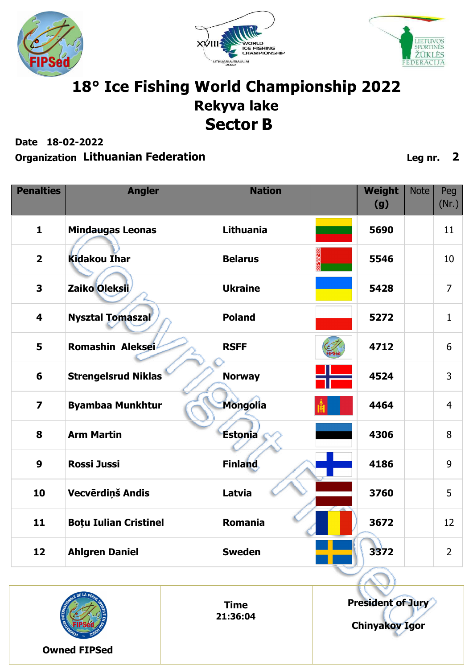





## 18° Ice Fishing World Championship 2022 **Rekyva lake Sector B**

**Date 18-02-2022**

| <b>Penalties</b>        | <b>Angler</b>                | <b>Nation</b>   | <b>Weight</b><br>(g) | <b>Note</b> | Peg<br>(Nr.)   |
|-------------------------|------------------------------|-----------------|----------------------|-------------|----------------|
| $\mathbf{1}$            | <b>Mindaugas Leonas</b>      | Lithuania       | 5690                 |             | 11             |
| $\overline{2}$          | <b>Kidakou Ihar</b>          | <b>Belarus</b>  | 5546                 |             | 10             |
| 3                       | Zaiko Oleksii                | <b>Ukraine</b>  | 5428                 |             | $\overline{7}$ |
| $\overline{\mathbf{4}}$ | <b>Nysztal Tomaszal</b>      | <b>Poland</b>   | 5272                 |             | $\mathbf{1}$   |
| 5                       | Romashin Aleksei             | <b>RSFF</b>     | 4712                 |             | 6              |
| 6                       | <b>Strengelsrud Niklas</b>   | <b>Norway</b>   | 4524                 |             | 3              |
| $\overline{\mathbf{z}}$ | <b>Byambaa Munkhtur</b>      | <b>Mongolia</b> | 4464                 |             | $\overline{4}$ |
| 8                       | <b>Arm Martin</b>            | Estonia         | 4306                 |             | 8              |
| $\boldsymbol{9}$        | <b>Rossi Jussi</b>           | <b>Finland</b>  | 4186                 |             | 9              |
| 10                      | Vecvērdiņš Andis             | Latvia          | 3760                 |             | 5              |
| 11                      | <b>Boțu Iulian Cristinel</b> | <b>Romania</b>  | 3672                 |             | 12             |
| 12                      | <b>Ahlgren Daniel</b>        | <b>Sweden</b>   | 3372                 |             | $\overline{2}$ |

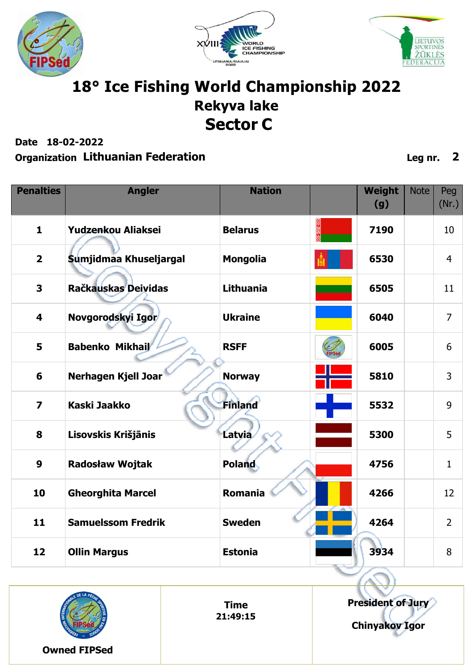





### 18° Ice Fishing World Championship 2022 **Rekyva lake Sector C**

**Date 18-02-2022**

#### **Organization Lithuanian Federation Leg nr. 2**

| <b>Penalties</b>        | <b>Angler</b>             | <b>Nation</b>    | Weight<br>(g) | <b>Note</b> | Peg<br>(Nr.)   |
|-------------------------|---------------------------|------------------|---------------|-------------|----------------|
| $\mathbf{1}$            | Yudzenkou Aliaksei        | <b>Belarus</b>   | 7190          |             | 10             |
| $\overline{2}$          | Sumjidmaa Khuseljargal    | <b>Mongolia</b>  | 6530          |             | $\overline{4}$ |
| 3                       | Račkauskas Deividas       | <b>Lithuania</b> | 6505          |             | 11             |
| $\overline{\mathbf{4}}$ | Novgorodskyi Igor         | <b>Ukraine</b>   | 6040          |             | $\overline{7}$ |
| 5                       | Babenko Mikhail           | <b>RSFF</b>      | 6005          |             | 6              |
| 6                       | Nerhagen Kjell Joar       | <b>Norway</b>    | 5810          |             | $\overline{3}$ |
| $\overline{7}$          | <b>Kaski Jaakko</b>       | <b>Finland</b>   | 5532          |             | 9              |
| 8                       | Lisovskis Krišjānis       | <b>Latvia</b>    | 5300          |             | 5              |
| $\boldsymbol{9}$        | <b>Radosław Wojtak</b>    | <b>Poland</b>    | 4756          |             | $\mathbf{1}$   |
| 10                      | <b>Gheorghita Marcel</b>  | Romania          | 4266          |             | 12             |
| 11                      | <b>Samuelssom Fredrik</b> | <b>Sweden</b>    | 4264          |             | $\overline{2}$ |
| 12                      | <b>Ollin Margus</b>       | <b>Estonia</b>   | 3934          |             | 8              |



**President of Jury Chinyakov Igor**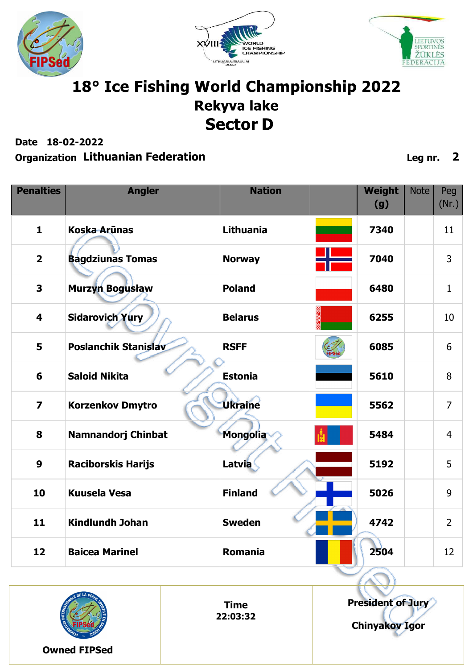





## 18° Ice Fishing World Championship 2022 **Rekyva lake Sector D**

**Date 18-02-2022**

| <b>Penalties</b>        | <b>Angler</b>               | <b>Nation</b>    | <b>Weight</b><br>(g) | <b>Note</b> | Peg<br>(Nr.)   |
|-------------------------|-----------------------------|------------------|----------------------|-------------|----------------|
| $\mathbf{1}$            | <b>Koska Arūnas</b>         | <b>Lithuania</b> | 7340                 |             | 11             |
| $\overline{2}$          | <b>Bagdziunas Tomas</b>     | <b>Norway</b>    | 7040                 |             | $\overline{3}$ |
| 3                       | <b>Murzyn Bogusław</b>      | <b>Poland</b>    | 6480                 |             | $\mathbf{1}$   |
| 4                       | <b>Sidarovich Yury</b>      | <b>Belarus</b>   | 6255                 |             | 10             |
| 5                       | <b>Poslanchik Stanislav</b> | <b>RSFF</b>      | 6085                 |             | 6              |
| 6                       | <b>Saloid Nikita</b>        | <b>Estonia</b>   | 5610                 |             | 8              |
| $\overline{\mathbf{z}}$ | <b>Korzenkov Dmytro</b>     | <b>Ukraine</b>   | 5562                 |             | $\overline{7}$ |
| 8                       | <b>Namnandorj Chinbat</b>   | <b>Mongolia</b>  | 5484                 |             | $\overline{4}$ |
| $\boldsymbol{9}$        | <b>Raciborskis Harijs</b>   | <b>Latvia</b>    | 5192                 |             | 5              |
| 10                      | <b>Kuusela Vesa</b>         | <b>Finland</b>   | 5026                 |             | 9              |
| 11                      | <b>Kindlundh Johan</b>      | <b>Sweden</b>    | 4742                 |             | $\overline{2}$ |
| 12                      | <b>Baicea Marinel</b>       | <b>Romania</b>   | 2504                 |             | 12             |

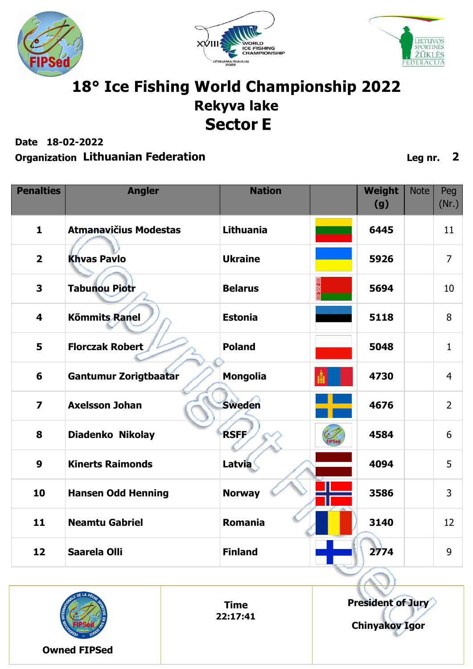





## 18° Ice Fishing World Championship 2022 **Rekyva lake Sector E**

**Date 18-02-2022**

| <b>Penalties</b>        | <b>Angler</b>                | <b>Nation</b>   | Weight<br>(g) | <b>Note</b> | Peg<br>(Nr.)    |
|-------------------------|------------------------------|-----------------|---------------|-------------|-----------------|
| $\mathbf{1}$            | <b>Atmanavičius Modestas</b> | Lithuania       | 6445          |             | 11              |
| $\overline{\mathbf{2}}$ | <b>Khvas Pavlo</b>           | <b>Ukraine</b>  | 5926          |             | $\overline{7}$  |
| $\overline{\mathbf{3}}$ | <b>Tabunou Piotr</b>         | <b>Belarus</b>  | 5694          |             | 10              |
| $\overline{\mathbf{4}}$ | <b>Kõmmits Ranel</b>         | <b>Estonia</b>  | 5118          |             | 8               |
| 5                       | <b>Florczak Robert</b>       | <b>Poland</b>   | 5048          |             | $\mathbf{1}$    |
| 6                       | Gantumur Zorigtbaatar        | <b>Mongolia</b> | 4730          |             | $\overline{4}$  |
| $\overline{\mathbf{z}}$ | <b>Axelsson Johan</b>        | <b>Sweden</b>   | 4676          |             | $\overline{2}$  |
| 8                       | Diadenko Nikolay             | <b>RSFF</b>     | 4584          |             | 6               |
| 9                       | <b>Kinerts Raimonds</b>      | <b>Latvia</b>   | 4094          |             | 5               |
| 10                      | <b>Hansen Odd Henning</b>    | <b>Norway</b>   | 3586          |             | 3               |
| 11                      | <b>Neamtu Gabriel</b>        | Romania         | 3140          |             | 12 <sup>2</sup> |
| 12                      | <b>Saarela Olli</b>          | <b>Finland</b>  | 2774          |             | 9               |

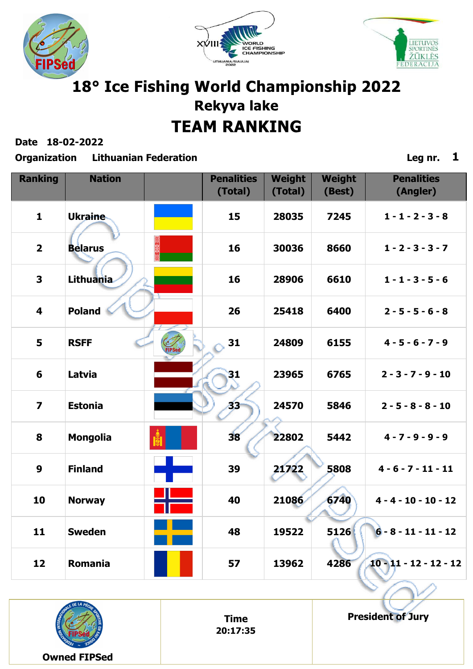





**Date 18-02-2022**

**Organization Lithuanian Federation Leg nr. 1**

| <b>Ranking</b>          | <b>Nation</b>    |               | <b>Penalities</b><br>(Total) | Weight<br>(Total) | <b>Weight</b><br>(Best) | <b>Penalities</b><br>(Angler) |
|-------------------------|------------------|---------------|------------------------------|-------------------|-------------------------|-------------------------------|
| $\mathbf{1}$            | <b>Ukraine</b>   |               | 15                           | 28035             | 7245                    | $1 - 1 - 2 - 3 - 8$           |
| $\overline{2}$          | <b>Belarus</b>   |               | 16                           | 30036             | 8660                    | $1 - 2 - 3 - 3 - 7$           |
| 3                       | <b>Lithuania</b> |               | 16                           | 28906             | 6610                    | $1 - 1 - 3 - 5 - 6$           |
| $\overline{\mathbf{4}}$ | <b>Poland</b>    |               | 26                           | 25418             | 6400                    | $2 - 5 - 5 - 6 - 8$           |
| 5                       | <b>RSFF</b>      | <b>FIPSed</b> | 31                           | 24809             | 6155                    | $4 - 5 - 6 - 7 - 9$           |
| 6                       | Latvia           |               | $\overline{\mathbf{3}}$      | 23965             | 6765                    | $2 - 3 - 7 - 9 - 10$          |
| $\overline{\mathbf{z}}$ | <b>Estonia</b>   |               | 83                           | 24570             | 5846                    | $2 - 5 - 8 - 8 - 10$          |
| 8                       | <b>Mongolia</b>  |               | 38                           | 22802             | 5442                    | $4 - 7 - 9 - 9 - 9$           |
| $\boldsymbol{9}$        | <b>Finland</b>   |               | 39                           | 21722             | 5808                    | $4 - 6 - 7 - 11 - 11$         |
| 10                      | <b>Norway</b>    |               | 40                           | 21086             | 6740                    | $4 - 4 - 10 - 10 - 12$        |
| 11                      | <b>Sweden</b>    |               | 48                           | 19522             | 5126                    | $6 - 8 - 11 - 11 - 12$        |
| 12                      | Romania          |               | 57                           | 13962             | 4286                    | $10 - 11 - 12 - 12 - 12$      |



**Time 20:17:35** **President of Jury**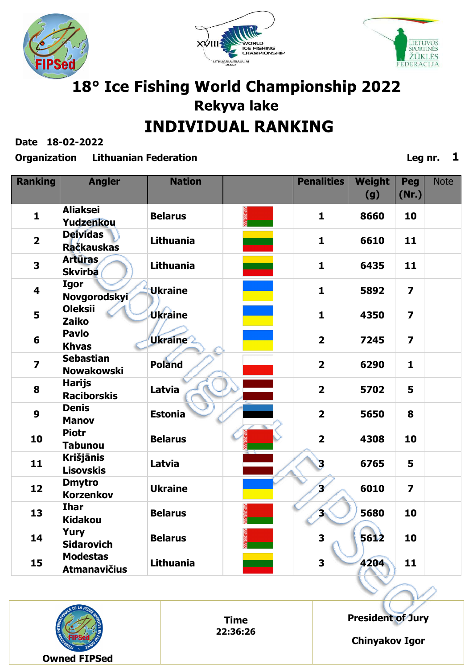





**Date 18-02-2022**

#### **Organization Lithuanian Federation Leg nr. 1**

| <b>Ranking</b>          | <b>Angler</b>                          | <b>Nation</b>    | <b>Penalities</b>       | <b>Weight</b><br>(g) | Peg<br>(Nr.)            | <b>Note</b> |
|-------------------------|----------------------------------------|------------------|-------------------------|----------------------|-------------------------|-------------|
| $\mathbf{1}$            | <b>Aliaksei</b><br>Yudzenkou           | <b>Belarus</b>   | $\mathbf{1}$            | 8660                 | 10                      |             |
| $\overline{\mathbf{2}}$ | <b>Deividas</b><br><b>Račkauskas</b>   | Lithuania        | $\mathbf{1}$            | 6610                 | 11                      |             |
| 3                       | <b>Artūras</b><br><b>Skvirba</b>       | <b>Lithuania</b> | $\mathbf{1}$            | 6435                 | 11                      |             |
| $\overline{\mathbf{4}}$ | <b>Igor</b><br>Novgorodskyi            | Ukraine          | $\mathbf{1}$            | 5892                 | $\overline{\mathbf{z}}$ |             |
| 5                       | <b>Oleksii</b><br><b>Zaiko</b>         | <b>Úkráine</b>   | $\mathbf{1}$            | 4350                 | $\overline{\mathbf{z}}$ |             |
| 6                       | <b>Pavlo</b><br><b>Khvas</b>           | <b>Ukraine</b>   | $\overline{\mathbf{2}}$ | 7245                 | $\overline{\mathbf{z}}$ |             |
| $\overline{\mathbf{z}}$ | <b>Sebastian</b><br><b>Nowakowski</b>  | <b>Poland</b>    | $\overline{\mathbf{2}}$ | 6290                 | $\mathbf{1}$            |             |
| 8                       | <b>Harijs</b><br><b>Raciborskis</b>    | Latvia           | $\overline{\mathbf{2}}$ | 5702                 | 5                       |             |
| $\boldsymbol{9}$        | <b>Denis</b><br><b>Manov</b>           | <b>Estonia</b>   | $\overline{2}$          | 5650                 | 8                       |             |
| 10                      | <b>Piotr</b><br><b>Tabunou</b>         | <b>Belarus</b>   | $\overline{2}$          | 4308                 | 10                      |             |
| 11                      | <b>Krišjānis</b><br><b>Lisovskis</b>   | Latvia           | 3                       | 6765                 | 5                       |             |
| 12                      | <b>Dmytro</b><br><b>Korzenkov</b>      | <b>Ukraine</b>   | Χ                       | 6010                 | $\overline{\mathbf{z}}$ |             |
| 13                      | <b>Ihar</b><br><b>Kidakou</b>          | <b>Belarus</b>   | 'n                      | 5680                 | 10                      |             |
| 14                      | <b>Yury</b><br><b>Sidarovich</b>       | <b>Belarus</b>   | 3                       | 5612                 | 10                      |             |
| 15                      | <b>Modestas</b><br><b>Atmanavičius</b> | <b>Lithuania</b> | 3                       | 4204                 | 11                      |             |



**Time 22:36:26** **President of Jury**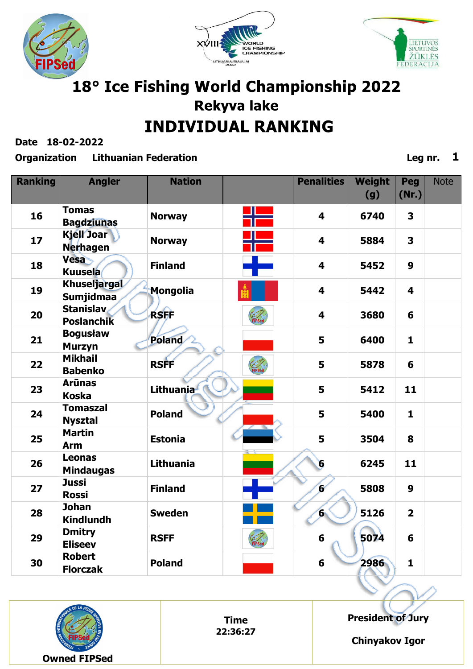





**Date 18-02-2022**

#### **Organization Lithuanian Federation Leg nr. 1**

| <b>Ranking</b> | <b>Angler</b>                           | <b>Nation</b>          |                    | <b>Penalities</b>       | Weight<br>(g) | Peg<br>(Nr.)            | <b>Note</b> |
|----------------|-----------------------------------------|------------------------|--------------------|-------------------------|---------------|-------------------------|-------------|
| 16             | <b>Tomas</b><br><b>Bagdziunas</b>       | <b>Norway</b>          | ╣                  | $\overline{\mathbf{4}}$ | 6740          | 3                       |             |
| 17             | <b>Kjell Joar</b><br><b>Nerhagen</b>    | <b>Norway</b>          |                    | $\overline{\mathbf{4}}$ | 5884          | $\overline{\mathbf{3}}$ |             |
| 18             | Vesa<br><b>Kuusela</b>                  | <b>Finland</b>         |                    | $\overline{\mathbf{4}}$ | 5452          | $\boldsymbol{9}$        |             |
| 19             | <b>Khuseljargal</b><br><b>Sumjidmaa</b> | <b>Mongolia</b>        |                    | $\overline{\mathbf{4}}$ | 5442          | 4                       |             |
| 20             | <b>Stanislav</b><br><b>Poslanchik</b>   | <b>RSFF</b>            | Elfed <sup>T</sup> | $\overline{\mathbf{4}}$ | 3680          | 6                       |             |
| 21             | <b>Bogusław</b><br><b>Murzyn</b>        | Poland                 |                    | 5                       | 6400          | $\mathbf{1}$            |             |
| 22             | <b>Mikhail</b><br><b>Babenko</b>        | <b>RSFF</b>            | <b>E</b>           | 5                       | 5878          | 6                       |             |
| 23             | <b>Arūnas</b><br><b>Koska</b>           | Lithuania <sup>f</sup> |                    | 5                       | 5412          | 11                      |             |
| 24             | <b>Tomaszal</b><br><b>Nysztal</b>       | <b>Poland</b>          |                    | 5                       | 5400          | $\mathbf{1}$            |             |
| 25             | <b>Martin</b><br><b>Arm</b>             | <b>Estonia</b>         |                    | 5                       | 3504          | 8                       |             |
| 26             | <b>Leonas</b><br><b>Mindaugas</b>       | <b>Lithuania</b>       |                    | 6                       | 6245          | 11                      |             |
| 27             | <b>Jussi</b><br><b>Rossi</b>            | <b>Finland</b>         |                    | ø                       | 5808          | 9                       |             |
| 28             | <b>Johan</b><br><b>Kindlundh</b>        | <b>Sweden</b>          |                    | $6^{\circ}$             | 5126          | $\overline{2}$          |             |
| 29             | <b>Dmitry</b><br><b>Eliseev</b>         | <b>RSFF</b>            | FIPSed             | $6\phantom{1}$          | 5074          | 6                       |             |
| 30             | <b>Robert</b><br><b>Florczak</b>        | <b>Poland</b>          |                    | 6                       | 2986          | $\mathbf{1}$            |             |



**Time 22:36:27** **President of Jury**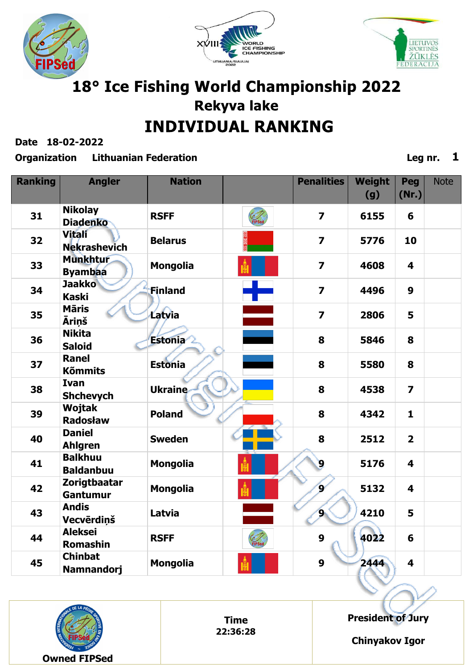





**Date 18-02-2022**

#### **Organization Lithuanian Federation Leg nr. 1**

| <b>Ranking</b> | <b>Angler</b>                        | <b>Nation</b>   |        | <b>Penalities</b>       | Weight<br>(g) | Peg<br>(Nr.)            | <b>Note</b> |
|----------------|--------------------------------------|-----------------|--------|-------------------------|---------------|-------------------------|-------------|
| 31             | <b>Nikolay</b><br><b>Diadenko</b>    | <b>RSFF</b>     | FIPSed | $\overline{\mathbf{z}}$ | 6155          | 6                       |             |
| 32             | <b>Vitali</b><br><b>Nekrashevich</b> | <b>Belarus</b>  |        | $\overline{\mathbf{z}}$ | 5776          | 10                      |             |
| 33             | <b>Munkhtur</b><br><b>Byambaa</b>    | <b>Mongolia</b> |        | $\overline{7}$          | 4608          | 4                       |             |
| 34             | <b>Jaakko</b><br><b>Kaski</b>        | <b>Finland</b>  |        | $\overline{\mathbf{z}}$ | 4496          | 9                       |             |
| 35             | <b>Māris</b><br><b>Ārinš</b>         | Latvia          |        | $\overline{7}$          | 2806          | 5                       |             |
| 36             | <b>Nikita</b><br><b>Saloid</b>       | Estonia         |        | 8                       | 5846          | 8                       |             |
| 37             | <b>Ranel</b><br><b>Kõmmits</b>       | <b>Estonia</b>  |        | 8                       | 5580          | 8                       |             |
| 38             | <b>Ivan</b><br><b>Shchevych</b>      | <b>Ukraine</b>  |        | 8                       | 4538          | $\overline{\mathbf{z}}$ |             |
| 39             | <b>Wojtak</b><br><b>Radosław</b>     | <b>Poland</b>   |        | 8                       | 4342          | $\mathbf{1}$            |             |
| 40             | <b>Daniel</b><br><b>Ahlgren</b>      | <b>Sweden</b>   |        | 8                       | 2512          | $\overline{2}$          |             |
| 41             | <b>Balkhuu</b><br><b>Baldanbuu</b>   | <b>Mongolia</b> |        | 9                       | 5176          | 4                       |             |
| 42             | Zorigtbaatar<br><b>Gantumur</b>      | <b>Mongolia</b> |        | $\mathbf{S}$            | 5132          | 4                       |             |
| 43             | <b>Andis</b><br>Vecvērdiņš           | Latvia          |        | 9.                      | 4210          | 5                       |             |
| 44             | <b>Aleksei</b><br><b>Romashin</b>    | <b>RSFF</b>     | FIPSed | 9                       | 4022          | 6                       |             |
| 45             | <b>Chinbat</b><br><b>Namnandorj</b>  | <b>Mongolia</b> |        | 9                       | 2444          | 4                       |             |



**Time 22:36:28** **President of Jury**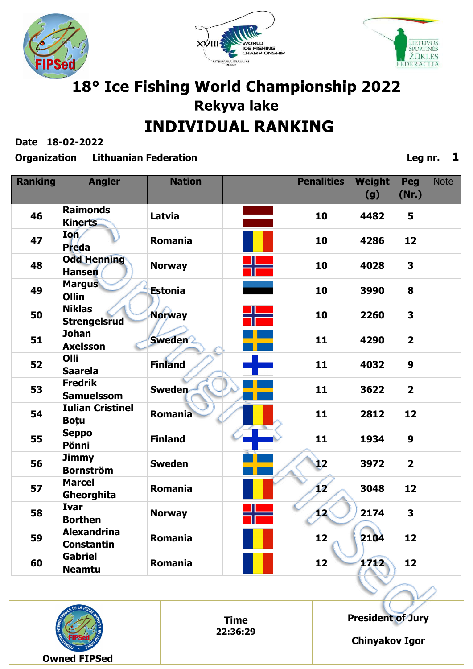





**Date 18-02-2022**

#### **Organization Lithuanian Federation Leg nr. 1**

| <b>Ranking</b> | <b>Angler</b>                           | <b>Nation</b>  | <b>Penalities</b> | <b>Weight</b><br>(g) | Peg<br>(Nr.)            | <b>Note</b> |
|----------------|-----------------------------------------|----------------|-------------------|----------------------|-------------------------|-------------|
| 46             | <b>Raimonds</b><br><b>Kinerts</b>       | Latvia         | 10                | 4482                 | 5                       |             |
| 47             | Ion<br><b>Preda</b>                     | <b>Romania</b> | 10                | 4286                 | 12                      |             |
| 48             | <b>Odd Henning</b><br><b>Hansen</b>     | <b>Norway</b>  | 10                | 4028                 | $\overline{\mathbf{3}}$ |             |
| 49             | <b>Margus</b><br><b>Ollin</b>           | <b>Estonia</b> | 10                | 3990                 | 8                       |             |
| 50             | <b>Niklas</b><br><b>Strengelsrud</b>    | <b>Norway</b>  | 10                | 2260                 | $\overline{\mathbf{3}}$ |             |
| 51             | <b>Johan</b><br><b>Axelsson</b>         | <b>Sweden</b>  | 11                | 4290                 | $\overline{2}$          |             |
| 52             | Olli<br><b>Saarela</b>                  | <b>Finland</b> | 11                | 4032                 | $\boldsymbol{9}$        |             |
| 53             | <b>Fredrik</b><br><b>Samuelssom</b>     | <b>Sweden</b>  | 11                | 3622                 | $\overline{2}$          |             |
| 54             | <b>Iulian Cristinel</b><br><b>Botu</b>  | <b>Romania</b> | 11                | 2812                 | 12                      |             |
| 55             | <b>Seppo</b><br>Pönni                   | <b>Finland</b> | 11                | 1934                 | $\boldsymbol{9}$        |             |
| 56             | <b>Jimmy</b><br><b>Bornström</b>        | <b>Sweden</b>  | Ì2                | 3972                 | $\overline{2}$          |             |
| 57             | <b>Marcel</b><br>Gheorghita             | <b>Romania</b> | V                 | 3048                 | 12                      |             |
| 58             | <b>Ivar</b><br><b>Borthen</b>           | <b>Norway</b>  | 12                | 2174                 | $\overline{\mathbf{3}}$ |             |
| 59             | <b>Alexandrina</b><br><b>Constantin</b> | <b>Romania</b> | 12                | 2104                 | 12                      |             |
| 60             | <b>Gabriel</b><br><b>Neamtu</b>         | <b>Romania</b> | 12                | 1712                 | 12                      |             |



**Time 22:36:29** **President of Jury**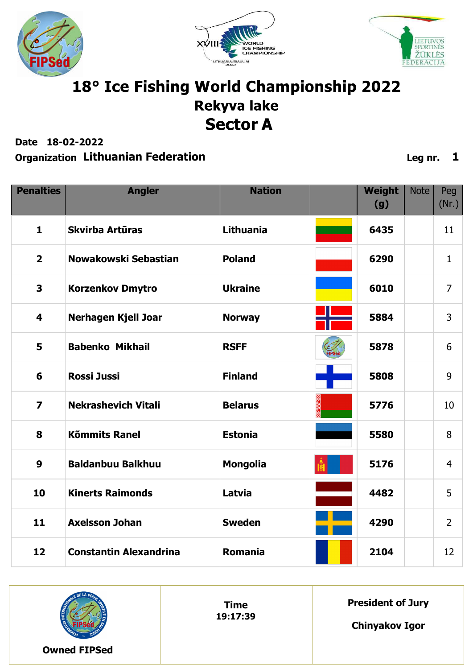





### 18° Ice Fishing World Championship 2022 **Rekyva lake Sector A**

**Date 18-02-2022**

#### **Organization Lithuanian Federation Leg nr. 1**

| <b>Penalties</b>        | <b>Angler</b>                 | <b>Nation</b>   | Weight<br>(g) | <b>Note</b> | Peg<br>(Nr.)   |
|-------------------------|-------------------------------|-----------------|---------------|-------------|----------------|
| $\mathbf{1}$            | Skvirba Artūras               | Lithuania       | 6435          |             | 11             |
| $\overline{2}$          | Nowakowski Sebastian          | <b>Poland</b>   | 6290          |             | $\mathbf{1}$   |
| 3                       | <b>Korzenkov Dmytro</b>       | <b>Ukraine</b>  | 6010          |             | $\overline{7}$ |
| 4                       | <b>Nerhagen Kjell Joar</b>    | <b>Norway</b>   | 5884          |             | 3              |
| 5                       | <b>Babenko Mikhail</b>        | <b>RSFF</b>     | 5878          |             | 6              |
| 6                       | <b>Rossi Jussi</b>            | <b>Finland</b>  | 5808          |             | 9              |
| $\overline{\mathbf{z}}$ | <b>Nekrashevich Vitali</b>    | <b>Belarus</b>  | 5776          |             | 10             |
| 8                       | <b>Kõmmits Ranel</b>          | <b>Estonia</b>  | 5580          |             | 8              |
| 9                       | <b>Baldanbuu Balkhuu</b>      | <b>Mongolia</b> | 5176          |             | $\overline{4}$ |
| 10                      | <b>Kinerts Raimonds</b>       | Latvia          | 4482          |             | 5              |
| 11                      | <b>Axelsson Johan</b>         | <b>Sweden</b>   | 4290          |             | $\overline{2}$ |
| 12                      | <b>Constantin Alexandrina</b> | Romania         | 2104          |             | 12             |



**Time 19:17:39** **President of Jury**

**Chinyakov Igor**

**Owned FIPSed**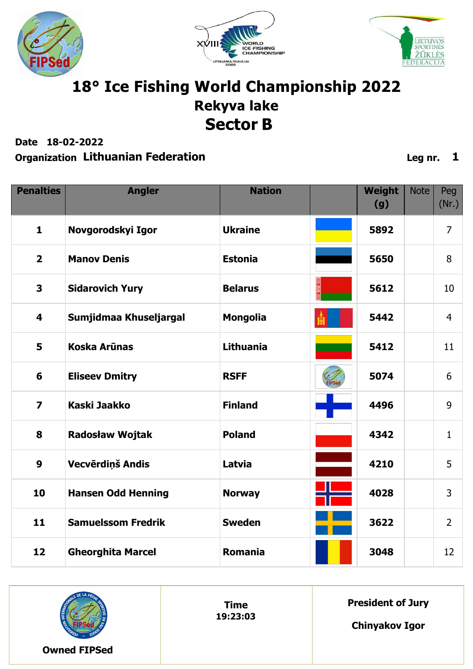





### 18° Ice Fishing World Championship 2022 **Rekyva lake Sector B**

**Date 18-02-2022**

#### **Organization Lithuanian Federation Leg nr. 1**

| <b>Penalties</b>        | <b>Angler</b>             | <b>Nation</b>    | Weight<br>(g) | <b>Note</b> | Peg<br>(Nr.)   |
|-------------------------|---------------------------|------------------|---------------|-------------|----------------|
| $\mathbf{1}$            | Novgorodskyi Igor         | <b>Ukraine</b>   | 5892          |             | $\overline{7}$ |
| $\overline{\mathbf{2}}$ | <b>Manov Denis</b>        | <b>Estonia</b>   | 5650          |             | 8              |
| 3                       | <b>Sidarovich Yury</b>    | <b>Belarus</b>   | 5612          |             | 10             |
| 4                       | Sumjidmaa Khuseljargal    | <b>Mongolia</b>  | 5442          |             | $\overline{4}$ |
| 5                       | <b>Koska Arūnas</b>       | <b>Lithuania</b> | 5412          |             | 11             |
| 6                       | <b>Eliseev Dmitry</b>     | <b>RSFF</b>      | 5074          |             | 6              |
| $\overline{\mathbf{z}}$ | Kaski Jaakko              | <b>Finland</b>   | 4496          |             | 9              |
| 8                       | <b>Radosław Wojtak</b>    | <b>Poland</b>    | 4342          |             | $\mathbf{1}$   |
| $\boldsymbol{9}$        | Vecvērdiņš Andis          | Latvia           | 4210          |             | 5              |
| 10                      | <b>Hansen Odd Henning</b> | <b>Norway</b>    | 4028          |             | 3              |
| 11                      | <b>Samuelssom Fredrik</b> | <b>Sweden</b>    | 3622          |             | $\overline{2}$ |
| 12                      | <b>Gheorghita Marcel</b>  | Romania          | 3048          |             | 12             |



**Time 19:23:03** **President of Jury**

**Chinyakov Igor**

**Owned FIPSed**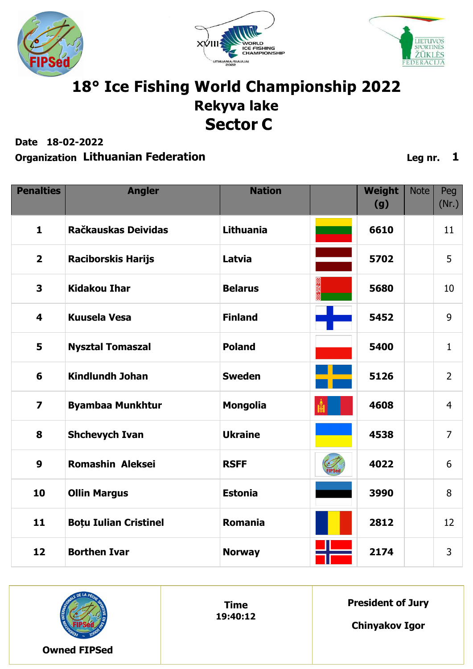





### 18° Ice Fishing World Championship 2022 **Rekyva lake Sector C**

**Date 18-02-2022**

| <b>Penalties</b>        | <b>Angler</b>                | <b>Nation</b>    | Weight<br>(g) | <b>Note</b> | Peg<br>(Nr.)   |
|-------------------------|------------------------------|------------------|---------------|-------------|----------------|
| $\mathbf{1}$            | Račkauskas Deividas          | <b>Lithuania</b> | 6610          |             | 11             |
| $\overline{2}$          | <b>Raciborskis Harijs</b>    | Latvia           | 5702          |             | 5              |
| $\overline{\mathbf{3}}$ | <b>Kidakou Ihar</b>          | <b>Belarus</b>   | 5680          |             | 10             |
| $\overline{\mathbf{4}}$ | <b>Kuusela Vesa</b>          | <b>Finland</b>   | 5452          |             | 9              |
| 5                       | <b>Nysztal Tomaszal</b>      | <b>Poland</b>    | 5400          |             | $\mathbf{1}$   |
| 6                       | <b>Kindlundh Johan</b>       | <b>Sweden</b>    | 5126          |             | $\overline{2}$ |
| $\overline{\mathbf{z}}$ | <b>Byambaa Munkhtur</b>      | <b>Mongolia</b>  | 4608          |             | $\overline{4}$ |
| 8                       | <b>Shchevych Ivan</b>        | <b>Ukraine</b>   | 4538          |             | $\overline{7}$ |
| $\boldsymbol{9}$        | <b>Romashin Aleksei</b>      | <b>RSFF</b>      | 4022          |             | 6              |
| 10                      | <b>Ollin Margus</b>          | <b>Estonia</b>   | 3990          |             | 8              |
| 11                      | <b>Boțu Iulian Cristinel</b> | <b>Romania</b>   | 2812          |             | 12             |
| 12                      | <b>Borthen Ivar</b>          | <b>Norway</b>    | 2174          |             | $\overline{3}$ |

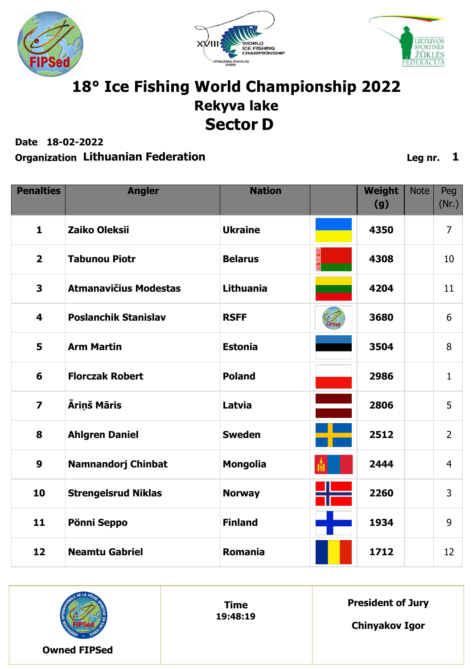





### 18° Ice Fishing World Championship 2022 **Rekyva lake Sector D**

**Date 18-02-2022**

#### **Organization Lithuanian Federation Leg nr. 1**

| <b>Penalties</b>        | <b>Angler</b>                | <b>Nation</b>    | Weight<br>(g) | <b>Note</b> | Peg<br>(Nr.)   |
|-------------------------|------------------------------|------------------|---------------|-------------|----------------|
| $\mathbf{1}$            | Zaiko Oleksii                | <b>Ukraine</b>   | 4350          |             | $\overline{7}$ |
| $\overline{2}$          | <b>Tabunou Piotr</b>         | <b>Belarus</b>   | 4308          |             | 10             |
| 3                       | <b>Atmanavičius Modestas</b> | <b>Lithuania</b> | 4204          |             | 11             |
| 4                       | <b>Poslanchik Stanislav</b>  | <b>RSFF</b>      | 3680          |             | 6              |
| 5                       | <b>Arm Martin</b>            | <b>Estonia</b>   | 3504          |             | 8              |
| 6                       | <b>Florczak Robert</b>       | <b>Poland</b>    | 2986          |             | $\mathbf{1}$   |
| $\overline{\mathbf{z}}$ | Āriņš Māris                  | Latvia           | 2806          |             | 5              |
| 8                       | <b>Ahlgren Daniel</b>        | <b>Sweden</b>    | 2512          |             | $\overline{2}$ |
| 9                       | <b>Namnandorj Chinbat</b>    | <b>Mongolia</b>  | 2444          |             | $\overline{4}$ |
| 10                      | <b>Strengelsrud Niklas</b>   | <b>Norway</b>    | 2260          |             | $\overline{3}$ |
| 11                      | Pönni Seppo                  | <b>Finland</b>   | 1934          |             | 9              |
| 12                      | <b>Neamtu Gabriel</b>        | <b>Romania</b>   | 1712          |             | 12             |



**Time 19:48:19** **President of Jury**

**Chinyakov Igor**

**Owned FIPSed**